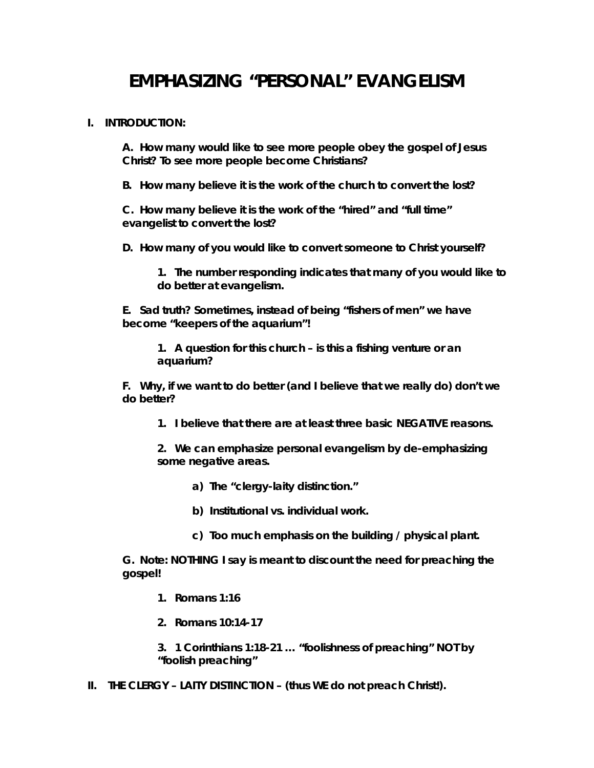# **EMPHASIZING "PERSONAL" EVANGELISM**

# **I. INTRODUCTION:**

**A. How many would like to see more people obey the gospel of Jesus Christ? To see more people become Christians?** 

**B. How many believe it is the work of the church to convert the lost?** 

**C. How many believe it is the work of the "hired" and "full time" evangelist to convert the lost?** 

**D. How many of you would like to convert someone to Christ yourself?** 

**1. The number responding indicates that many of you would like to do better at evangelism.** 

**E. Sad truth? Sometimes, instead of being "fishers of men" we have become "keepers of the aquarium"!** 

**1. A question for this church – is this a fishing venture or an aquarium?** 

**F. Why, if we want to do better (and I believe that we really do) don't we do better?** 

**1. I believe that there are at least three basic NEGATIVE reasons.** 

**2. We can emphasize personal evangelism by de-emphasizing some negative areas.** 

**a) The "clergy-laity distinction."** 

**b) Institutional vs. individual work.** 

**c) Too much emphasis on the building / physical plant.** 

**G. Note: NOTHING I say is meant to discount the need for preaching the gospel!** 

- **1. Romans 1:16**
- **2. Romans 10:14-17**

**3. 1 Corinthians 1:18-21 … "foolishness of preaching" NOT by "foolish preaching"** 

**II. THE CLERGY – LAITY DISTINCTION – (thus WE do not preach Christ!).**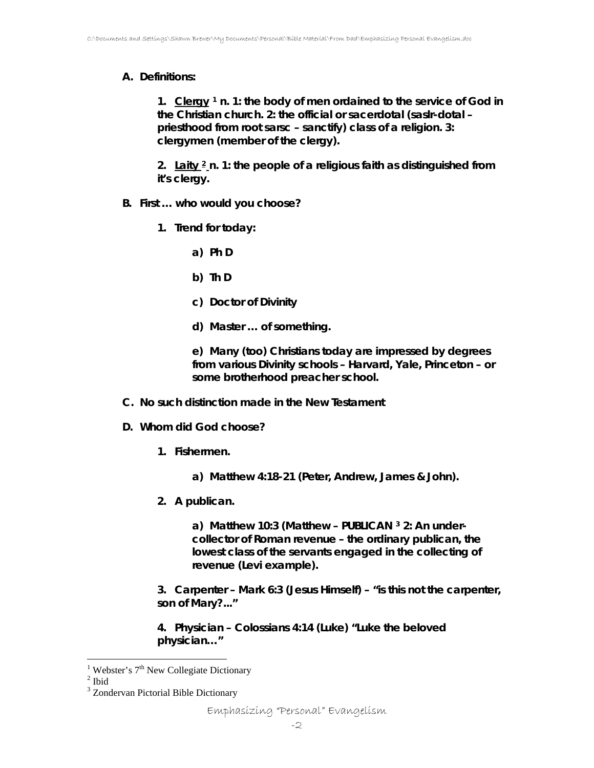# **A. Definitions:**

**1. Clergy [1](#page-1-0) n. 1: the body of men ordained to the service of God in the Christian church. 2: the official or sacerdotal (saslr-dotal – priesthood from root sarsc – sanctify) class of a religion. 3: clergymen (member of the clergy).** 

**2. Laity [2](#page-1-1) n. 1: the people of a religious faith as distinguished from it's clergy.** 

- **B. First … who would you choose?** 
	- **1. Trend for today:** 
		- **a) Ph D**
		- **b) Th D**
		- **c) Doctor of Divinity**
		- **d) Master … of something.**

**e) Many (too) Christians today are impressed by degrees from various Divinity schools – Harvard, Yale, Princeton – or some brotherhood preacher school.** 

- **C. No such distinction made in the New Testament**
- **D. Whom did God choose?** 
	- **1. Fishermen.** 
		- **a) Matthew 4:18-21 (Peter, Andrew, James & John).**
	- **2. A publican.**

**a) Matthew 10:3 (Matthew – PUBLICAN [3](#page-1-2) 2: An undercollector of Roman revenue – the ordinary publican, the lowest class of the servants engaged in the collecting of revenue (Levi example).** 

**3. Carpenter – Mark 6:3 (Jesus Himself) – "is this not the carpenter, son of Mary?..."** 

**4. Physician – Colossians 4:14 (Luke) "Luke the beloved physician…"** 

<sup>&</sup>lt;sup>1</sup> Webster's 7<sup>th</sup> New Collegiate Dictionary  $2 \text{ H}$ 

<span id="page-1-1"></span><span id="page-1-0"></span> $2$  Ibid

<span id="page-1-2"></span><sup>&</sup>lt;sup>3</sup> Zondervan Pictorial Bible Dictionary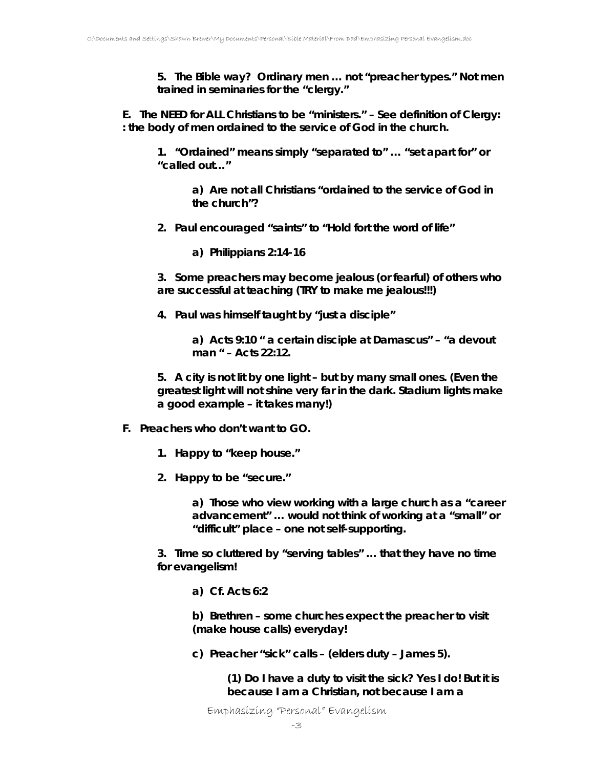**5. The Bible way? Ordinary men … not "preacher types." Not men trained in seminaries for the "clergy."** 

**E. The NEED for ALL Christians to be "ministers." – See definition of Clergy: : the body of men ordained to the service of God in the church.** 

**1. "Ordained" means simply "separated to" … "set apart for" or "called out…"** 

> **a) Are not all Christians "ordained to the service of God in the church"?**

**2. Paul encouraged "saints" to "Hold fort the word of life"** 

**a) Philippians 2:14-16** 

**3. Some preachers may become jealous (or fearful) of others who are successful at teaching (TRY to make me jealous!!!)** 

**4. Paul was himself taught by "just a disciple"** 

**a) Acts 9:10 " a certain disciple at Damascus" – "a devout man " – Acts 22:12.** 

**5. A city is not lit by one light – but by many small ones. (Even the greatest light will not shine very far in the dark. Stadium lights make a good example – it takes many!)** 

- **F. Preachers who don't want to GO.** 
	- **1. Happy to "keep house."**
	- **2. Happy to be "secure."**

**a) Those who view working with a large church as a "career advancement" … would not think of working at a "small" or "difficult" place – one not self-supporting.** 

**3. Time so cluttered by "serving tables" … that they have no time for evangelism!** 

**a) Cf. Acts 6:2** 

**b) Brethren – some churches expect the preacher to visit (make house calls) everyday!** 

**c) Preacher "sick" calls – (elders duty – James 5).** 

*(1) Do I have a duty to visit the sick? Yes I do! But it is because I am a Christian, not because I am a* 

Emphasizing "Personal" Evangelism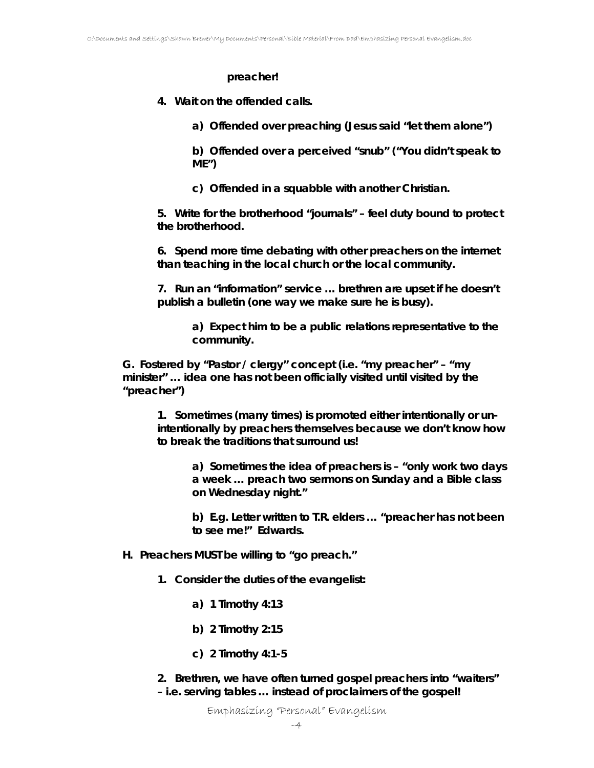#### *preacher!*

**4. Wait on the offended calls.** 

**a) Offended over preaching (Jesus said "let them alone")** 

**b) Offended over a perceived "snub" ("You didn't speak to ME")** 

**c) Offended in a squabble with another Christian.** 

**5. Write for the brotherhood "journals" – feel duty bound to protect the brotherhood.** 

**6. Spend more time debating with other preachers on the internet than teaching in the local church or the local community.** 

**7. Run an "information" service … brethren are upset if he doesn't publish a bulletin (one way we make sure he is busy).** 

> **a) Expect him to be a public relations representative to the community.**

**G. Fostered by "Pastor / clergy" concept (i.e. "my preacher" – "my minister" … idea one has not been officially visited until visited by the "preacher")** 

**1. Sometimes (many times) is promoted either intentionally or unintentionally by preachers themselves because we don't know how to break the traditions that surround us!** 

**a) Sometimes the idea of preachers is – "only work two days a week … preach two sermons on Sunday and a Bible class on Wednesday night."** 

**b) E.g. Letter written to T.R. elders … "preacher has not been to see me!" Edwards.** 

- **H. Preachers MUST be willing to "go preach."** 
	- **1. Consider the duties of the evangelist:** 
		- **a) 1 Timothy 4:13**
		- **b) 2 Timothy 2:15**
		- **c) 2 Timothy 4:1-5**

**2. Brethren, we have often turned gospel preachers into "waiters" – i.e. serving tables … instead of proclaimers of the gospel!**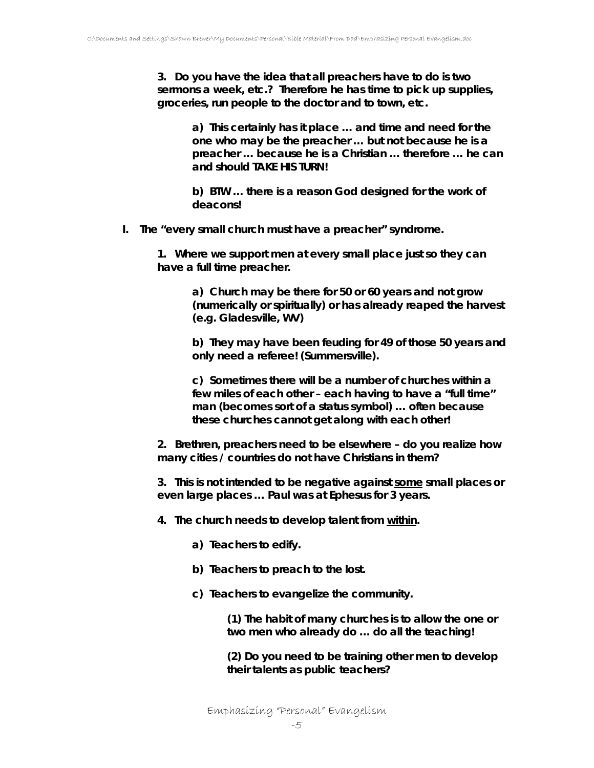**3. Do you have the idea that all preachers have to do is two sermons a week, etc.? Therefore he has time to pick up supplies, groceries, run people to the doctor and to town, etc.** 

> **a) This certainly has it place … and time and need for the one who may be the preacher … but not because he is a preacher … because he is a Christian … therefore … he can and should TAKE HIS TURN!**

**b) BTW … there is a reason God designed for the work of deacons!** 

**I. The "every small church must have a preacher" syndrome.** 

**1. Where we support men at every small place just so they can have a full time preacher.** 

> **a) Church may be there for 50 or 60 years and not grow (numerically or spiritually) or has already reaped the harvest (e.g. Gladesville, WV)**

> **b) They may have been feuding for 49 of those 50 years and only need a referee! (Summersville).**

**c) Sometimes there will be a number of churches within a few miles of each other – each having to have a "full time" man (becomes sort of a status symbol) … often because these churches cannot get along with each other!** 

**2. Brethren, preachers need to be elsewhere – do you realize how many cities / countries do not have Christians in them?** 

**3. This is not intended to be negative against** *some* **small places or even large places … Paul was at Ephesus for 3 years.** 

- **4. The church needs to develop talent from within.** 
	- **a) Teachers to edify.**
	- **b) Teachers to preach to the lost.**
	- **c) Teachers to evangelize the community.**

*(1) The habit of many churches is to allow the one or two men who already do … do all the teaching!* 

*(2) Do you need to be training other men to develop their talents as public teachers?* 

Emphasizing "Personal" Evangelism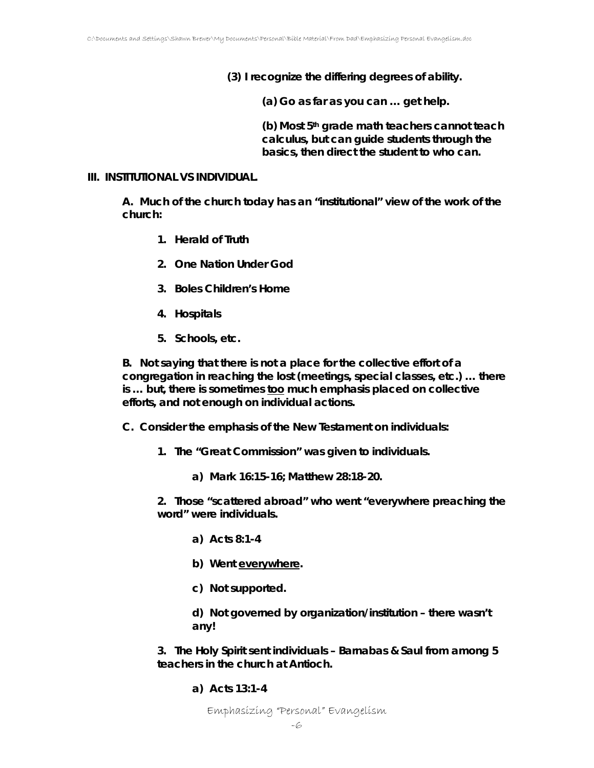*(3) I recognize the differing degrees of ability.* 

**(a) Go as far as you can … get help.** 

**(b) Most 5th grade math teachers cannot teach calculus, but can guide students through the basics, then direct the student to who can.** 

#### **III. INSTITUTIONAL VS INDIVIDUAL.**

**A. Much of the church today has an "institutional" view of the work of the church:** 

- **1. Herald of Truth**
- **2. One Nation Under God**
- **3. Boles Children's Home**
- **4. Hospitals**
- **5. Schools, etc.**

**B. Not saying that there is not a place for the collective effort of a congregation in reaching the lost (meetings, special classes, etc.) … there is … but, there is sometimes too much emphasis placed on collective efforts, and not enough on individual actions.** 

**C. Consider the emphasis of the New Testament on individuals:** 

- **1. The "Great Commission" was given to individuals.** 
	- **a) Mark 16:15-16; Matthew 28:18-20.**

**2. Those "scattered abroad" who went "everywhere preaching the word" were individuals.** 

- **a) Acts 8:1-4**
- **b)** Went *everywhere*.
- **c) Not supported.**

**d) Not governed by organization/institution – there wasn't any!** 

**3. The Holy Spirit sent individuals – Barnabas & Saul from among 5 teachers in the church at Antioch.** 

**a) Acts 13:1-4**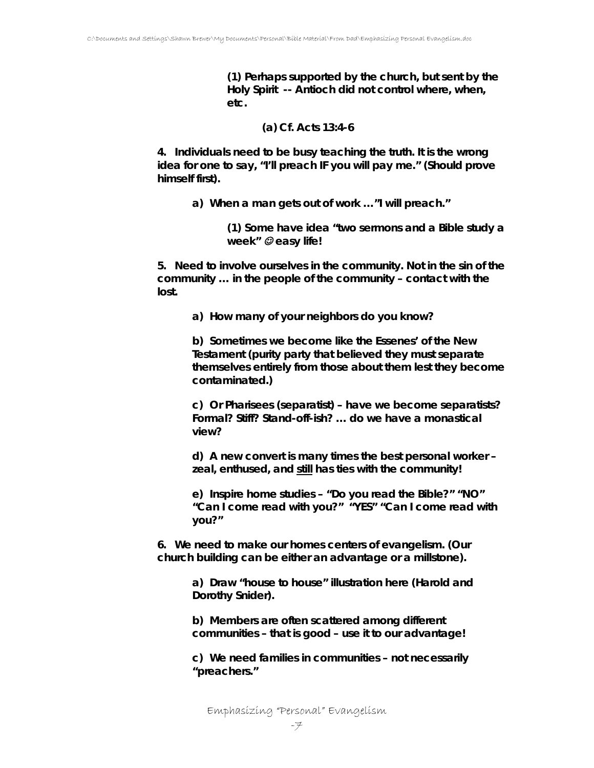*(1) Perhaps supported by the church, but sent by the Holy Spirit -- Antioch did not control where, when, etc.* 

# **(a) Cf. Acts 13:4-6**

**4. Individuals need to be busy teaching the truth. It is the wrong idea for one to say, "I'll preach IF you will pay me." (Should prove himself first).** 

**a) When a man gets out of work …"I will preach."** 

*(1) Some have idea "two sermons and a Bible study a week"* ☺ *easy life!* 

**5. Need to involve ourselves in the community. Not in the sin of the community … in the people of the community – contact with the lost.** 

**a) How many of your neighbors do you know?** 

**b) Sometimes we become like the Essenes' of the New Testament (purity party that believed they must separate themselves entirely from those about them lest they become contaminated.)** 

**c) Or Pharisees (separatist) – have we become separatists? Formal? Stiff? Stand-off-ish? … do we have a monastical view?** 

**d) A new convert is many times the best personal worker – zeal, enthused, and still has ties with the community!** 

**e) Inspire home studies – "Do you read the Bible?" "NO" "Can I come read with you?" "YES" "Can I come read with you?"** 

**6. We need to make our homes centers of evangelism. (Our church building can be either an advantage or a millstone).** 

> **a) Draw "house to house" illustration here (Harold and Dorothy Snider).**

**b) Members are often scattered among different communities – that is good – use it to our advantage!** 

**c) We need families in communities – not necessarily "preachers."** 

Emphasizing "Personal" Evangelism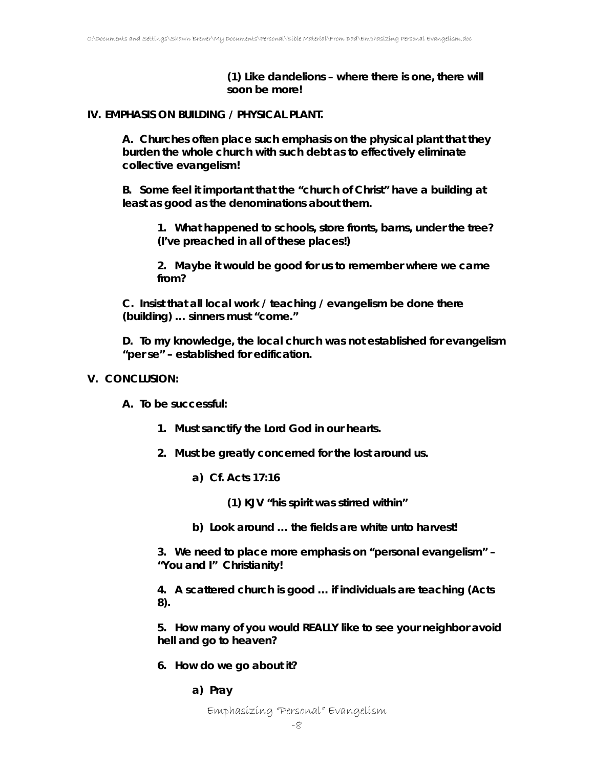*(1) Like dandelions – where there is one, there will soon be more!* 

# **IV. EMPHASIS ON BUILDING / PHYSICAL PLANT.**

**A. Churches often place such emphasis on the physical plant that they burden the whole church with such debt as to effectively eliminate collective evangelism!** 

**B. Some feel it important that the "church of Christ" have a building at least as good as the denominations about them.** 

**1. What happened to schools, store fronts, barns, under the tree? (I've preached in all of these places!)** 

**2. Maybe it would be good for us to remember where we came from?** 

**C. Insist that all local work / teaching / evangelism be done there (building) … sinners must "come."** 

**D. To my knowledge, the local church was not established for evangelism "per se" – established for edification.** 

# **V. CONCLUSION:**

**A. To be successful:** 

- **1. Must sanctify the Lord God in our hearts.**
- **2. Must be greatly concerned for the lost around us.** 
	- **a) Cf. Acts 17:16**

*(1) KJV "his spirit was stirred within"* 

**b) Look around … the fields are white unto harvest!** 

**3. We need to place more emphasis on "personal evangelism" – "You and I" Christianity!** 

**4. A scattered church is good … if individuals are teaching (Acts 8).** 

**5. How many of you would REALLY like to see your neighbor avoid hell and go to heaven?** 

- **6. How do we go about it?** 
	- **a) Pray**